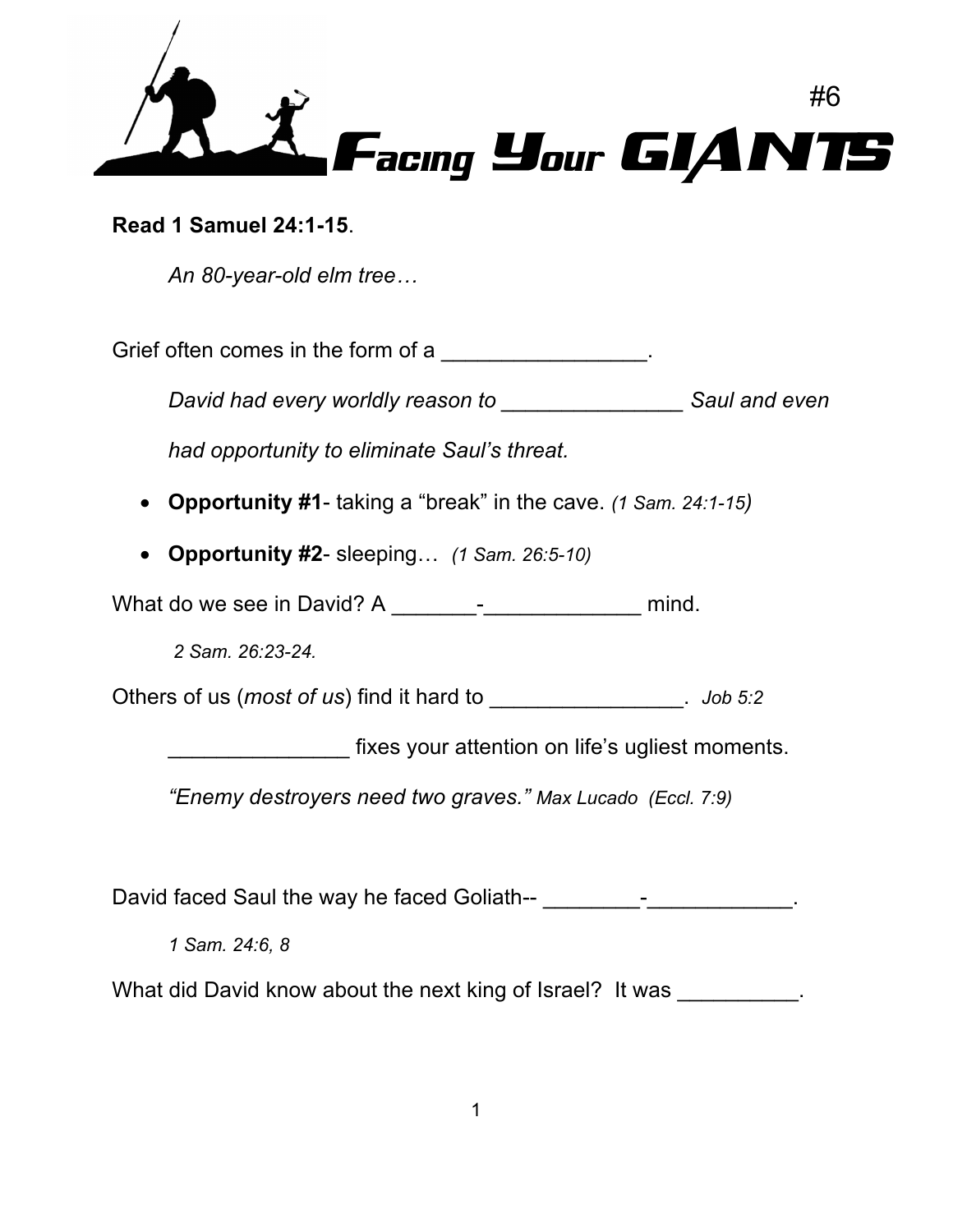

**Read 1 Samuel 24:1-15**.

*An 80-year-old elm tree…*

Grief often comes in the form of a  $\blacksquare$ 

*David had every worldly reason to \_\_\_\_\_\_\_\_\_\_\_\_\_\_\_ Saul and even* 

*had opportunity to eliminate Saul's threat.*

- **Opportunity #1** taking a "break" in the cave. *(1 Sam. 24:1-15)*
- **Opportunity #2** sleeping… *(1 Sam. 26:5-10)*

What do we see in David? A \_\_\_\_\_\_\_-\_\_\_\_\_\_\_\_\_\_\_\_\_ mind.

*2 Sam. 26:23-24.*

Others of us (*most of us*) find it hard to \_\_\_\_\_\_\_\_\_\_\_\_\_\_\_\_. *Job 5:2*

fixes your attention on life's ugliest moments.

*"Enemy destroyers need two graves." Max Lucado (Eccl. 7:9)*

David faced Saul the way he faced Goliath-- The contract of the contract of the contract of the contract of the contract of the contract of the contract of the contract of the contract of the contract of the contract of th

*1 Sam. 24:6, 8*

What did David know about the next king of Israel? It was